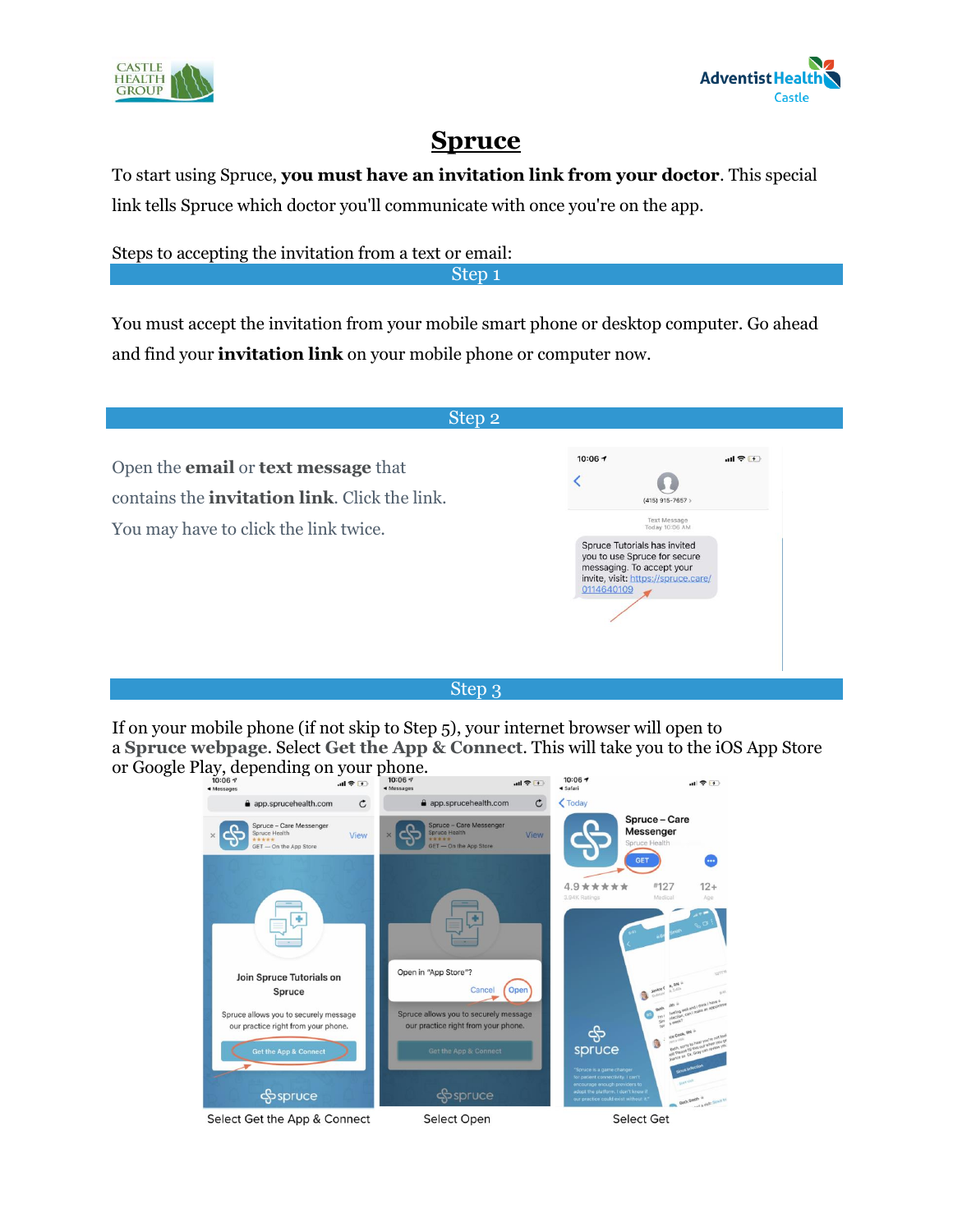



# **Spruce**

To start using Spruce, **you must have an invitation link from your doctor**. This special link tells Spruce which doctor you'll communicate with once you're on the app.

Steps to accepting the invitation from a text or email:

Step 1

You must accept the invitation from your mobile smart phone or desktop computer. Go ahead and find your **invitation link** on your mobile phone or computer now.

| 10:06 $\rightarrow$<br>川宇(チ)<br>$(415)$ 915-7657 >                                                                                                                                      |
|-----------------------------------------------------------------------------------------------------------------------------------------------------------------------------------------|
| <b>Text Message</b><br>Today 10:06 AM<br>Spruce Tutorials has invited<br>you to use Spruce for secure<br>messaging. To accept your<br>invite, visit: https://spruce.care/<br>0114640109 |
|                                                                                                                                                                                         |

### Step 3

If on your mobile phone (if not skip to Step 5), your internet browser will open to a **Spruce webpage**. Select **Get the App & Connect**. This will take you to the iOS App Store or Google Play, depending on your phone.

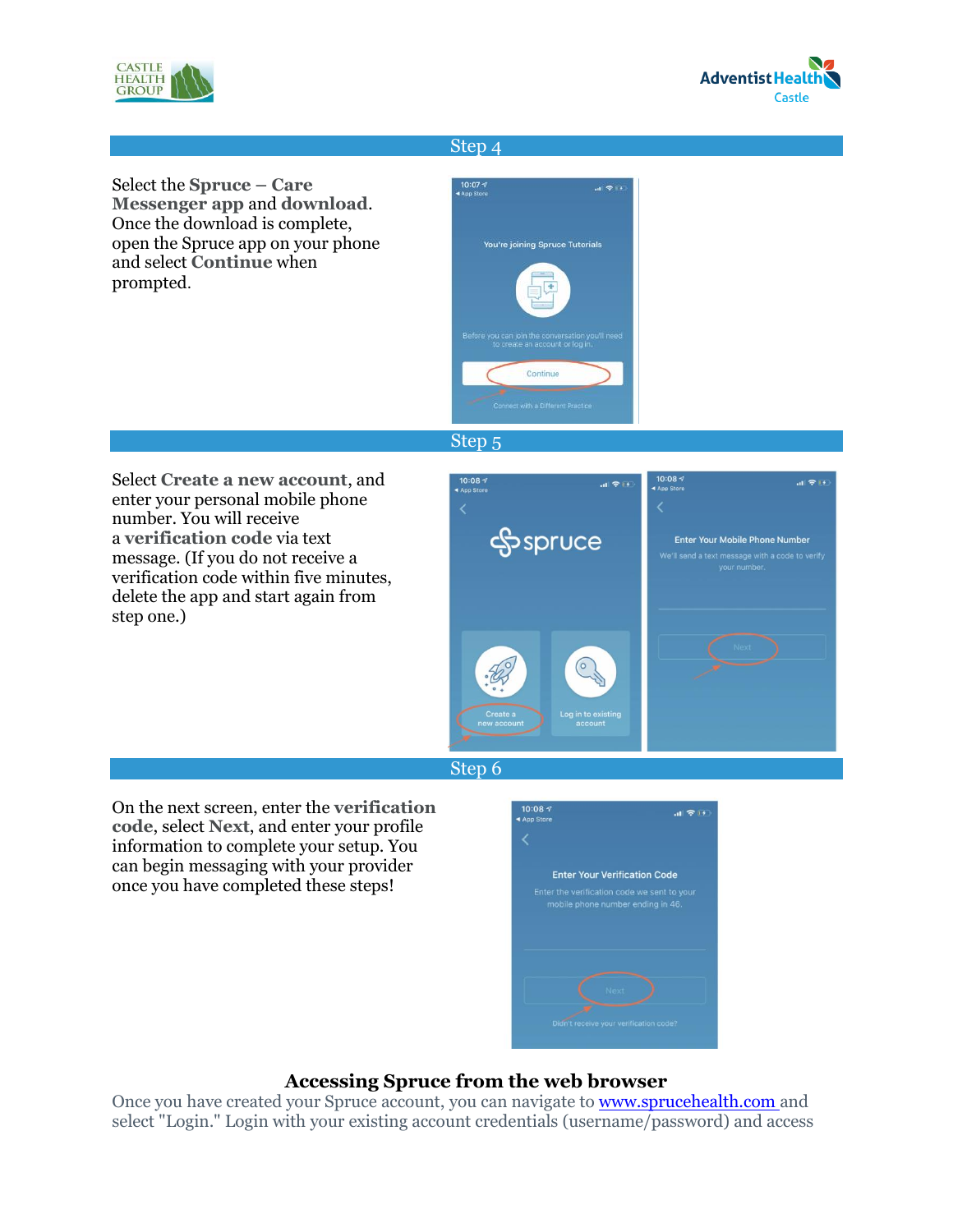



#### Step 4





#### Step 5

Select **Create a new account**, and enter your personal mobile phone number. You will receive a **verification code** via text message. (If you do not receive a verification code within five minutes, delete the app and start again from step one.)





On the next screen, enter the **verification code**, select **Next**, and enter your profile information to complete your setup. You can begin messaging with your provider once you have completed these steps!



## **Accessing Spruce from the web browser**

Once you have created your Spruce account, you can navigate to **[www.sprucehealth.com](http://www.sprucehealth.com/)** and select "Login." Login with your existing account credentials (username/password) and access